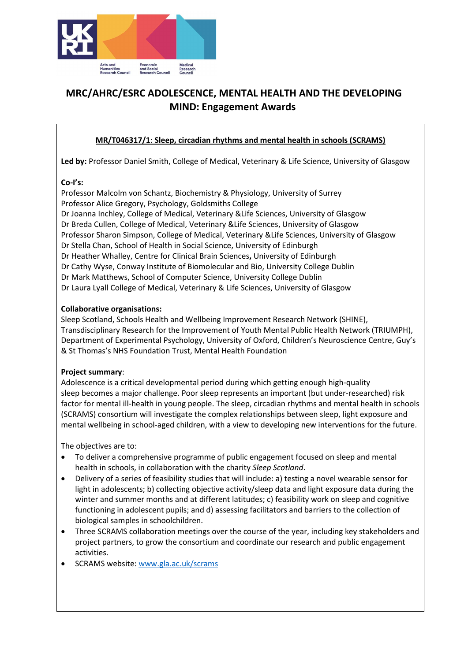

# MRC/AHRC/ESRC ADOLESCENCE, MENTAL HEALTH AND THE DEVELOPING MIND: Engagement Awards

# MR/T046317/1: Sleep, circadian rhythms and mental health in schools (SCRAMS)

Led by: Professor Daniel Smith, College of Medical, Veterinary & Life Science, University of Glasgow

## Co-I's:

Professor Malcolm von Schantz, Biochemistry & Physiology, University of Surrey Professor Alice Gregory, Psychology, Goldsmiths College Dr Joanna Inchley, College of Medical, Veterinary &Life Sciences, University of Glasgow Dr Breda Cullen, College of Medical, Veterinary &Life Sciences, University of Glasgow Professor Sharon Simpson, College of Medical, Veterinary &Life Sciences, University of Glasgow Dr Stella Chan, School of Health in Social Science, University of Edinburgh Dr Heather Whalley, Centre for Clinical Brain Sciences, University of Edinburgh Dr Cathy Wyse, Conway Institute of Biomolecular and Bio, University College Dublin Dr Mark Matthews, School of Computer Science, University College Dublin Dr Laura Lyall College of Medical, Veterinary & Life Sciences, University of Glasgow

## Collaborative organisations:

Sleep Scotland, Schools Health and Wellbeing Improvement Research Network (SHINE), Transdisciplinary Research for the Improvement of Youth Mental Public Health Network (TRIUMPH), Department of Experimental Psychology, University of Oxford, Children's Neuroscience Centre, Guy's & St Thomas's NHS Foundation Trust, Mental Health Foundation

## Project summary:

Adolescence is a critical developmental period during which getting enough high-quality sleep becomes a major challenge. Poor sleep represents an important (but under-researched) risk factor for mental ill-health in young people. The sleep, circadian rhythms and mental health in schools (SCRAMS) consortium will investigate the complex relationships between sleep, light exposure and mental wellbeing in school-aged children, with a view to developing new interventions for the future.

The objectives are to:

- To deliver a comprehensive programme of public engagement focused on sleep and mental health in schools, in collaboration with the charity Sleep Scotland.
- Delivery of a series of feasibility studies that will include: a) testing a novel wearable sensor for light in adolescents; b) collecting objective activity/sleep data and light exposure data during the winter and summer months and at different latitudes; c) feasibility work on sleep and cognitive functioning in adolescent pupils; and d) assessing facilitators and barriers to the collection of biological samples in schoolchildren.
- Three SCRAMS collaboration meetings over the course of the year, including key stakeholders and project partners, to grow the consortium and coordinate our research and public engagement activities.
- SCRAMS website: www.gla.ac.uk/scrams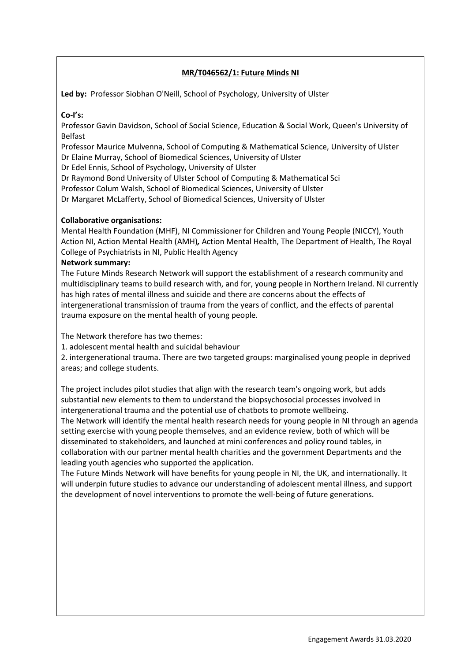## MR/T046562/1: Future Minds NI

Led by: Professor Siobhan O'Neill, School of Psychology, University of Ulster

#### Co-I's:

Professor Gavin Davidson, School of Social Science, Education & Social Work, Queen's University of Belfast

Professor Maurice Mulvenna, School of Computing & Mathematical Science, University of Ulster Dr Elaine Murray, School of Biomedical Sciences, University of Ulster

Dr Edel Ennis, School of Psychology, University of Ulster

Dr Raymond Bond University of Ulster School of Computing & Mathematical Sci

Professor Colum Walsh, School of Biomedical Sciences, University of Ulster

Dr Margaret McLafferty, School of Biomedical Sciences, University of Ulster

## Collaborative organisations:

Mental Health Foundation (MHF), NI Commissioner for Children and Young People (NICCY), Youth Action NI, Action Mental Health (AMH), Action Mental Health, The Department of Health, The Royal College of Psychiatrists in NI, Public Health Agency

## Network summary:

The Future Minds Research Network will support the establishment of a research community and multidisciplinary teams to build research with, and for, young people in Northern Ireland. NI currently has high rates of mental illness and suicide and there are concerns about the effects of intergenerational transmission of trauma from the years of conflict, and the effects of parental trauma exposure on the mental health of young people.

The Network therefore has two themes:

1. adolescent mental health and suicidal behaviour

2. intergenerational trauma. There are two targeted groups: marginalised young people in deprived areas; and college students.

The project includes pilot studies that align with the research team's ongoing work, but adds substantial new elements to them to understand the biopsychosocial processes involved in intergenerational trauma and the potential use of chatbots to promote wellbeing. The Network will identify the mental health research needs for young people in NI through an agenda setting exercise with young people themselves, and an evidence review, both of which will be disseminated to stakeholders, and launched at mini conferences and policy round tables, in collaboration with our partner mental health charities and the government Departments and the leading youth agencies who supported the application.

The Future Minds Network will have benefits for young people in NI, the UK, and internationally. It will underpin future studies to advance our understanding of adolescent mental illness, and support the development of novel interventions to promote the well-being of future generations.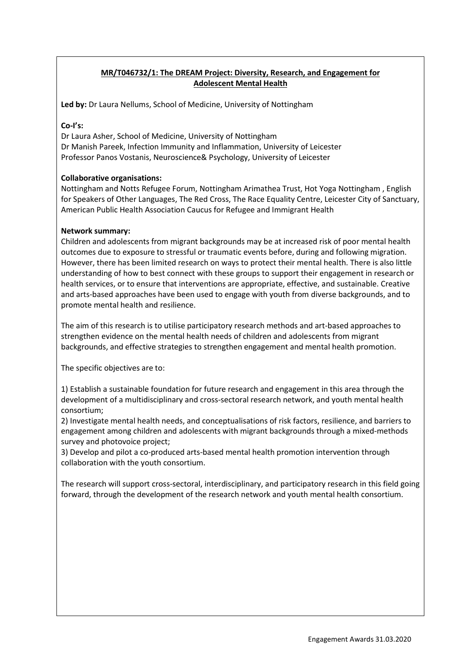# MR/T046732/1: The DREAM Project: Diversity, Research, and Engagement for Adolescent Mental Health

Led by: Dr Laura Nellums, School of Medicine, University of Nottingham

#### Co-I's:

Dr Laura Asher, School of Medicine, University of Nottingham Dr Manish Pareek, Infection Immunity and Inflammation, University of Leicester Professor Panos Vostanis, Neuroscience& Psychology, University of Leicester

## Collaborative organisations:

Nottingham and Notts Refugee Forum, Nottingham Arimathea Trust, Hot Yoga Nottingham , English for Speakers of Other Languages, The Red Cross, The Race Equality Centre, Leicester City of Sanctuary, American Public Health Association Caucus for Refugee and Immigrant Health

## Network summary:

Children and adolescents from migrant backgrounds may be at increased risk of poor mental health outcomes due to exposure to stressful or traumatic events before, during and following migration. However, there has been limited research on ways to protect their mental health. There is also little understanding of how to best connect with these groups to support their engagement in research or health services, or to ensure that interventions are appropriate, effective, and sustainable. Creative and arts-based approaches have been used to engage with youth from diverse backgrounds, and to promote mental health and resilience.

The aim of this research is to utilise participatory research methods and art-based approaches to strengthen evidence on the mental health needs of children and adolescents from migrant backgrounds, and effective strategies to strengthen engagement and mental health promotion.

The specific objectives are to:

1) Establish a sustainable foundation for future research and engagement in this area through the development of a multidisciplinary and cross-sectoral research network, and youth mental health consortium;

2) Investigate mental health needs, and conceptualisations of risk factors, resilience, and barriers to engagement among children and adolescents with migrant backgrounds through a mixed-methods survey and photovoice project;

3) Develop and pilot a co-produced arts-based mental health promotion intervention through collaboration with the youth consortium.

The research will support cross-sectoral, interdisciplinary, and participatory research in this field going forward, through the development of the research network and youth mental health consortium.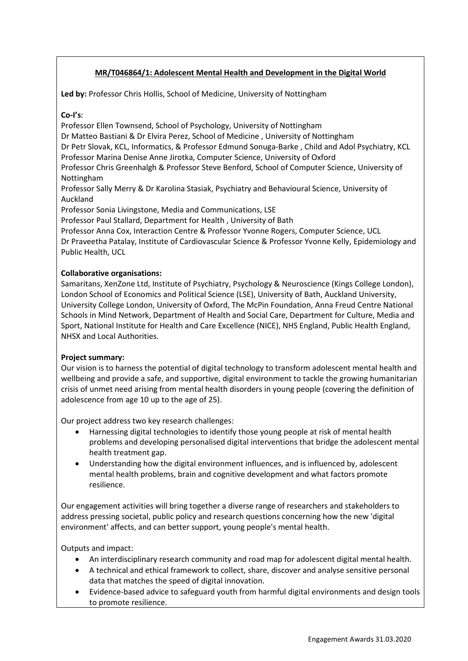# MR/T046864/1: Adolescent Mental Health and Development in the Digital World

Led by: Professor Chris Hollis, School of Medicine, University of Nottingham

#### Co-I's:

Professor Ellen Townsend, School of Psychology, University of Nottingham

Dr Matteo Bastiani & Dr Elvira Perez, School of Medicine , University of Nottingham

Dr Petr Slovak, KCL, Informatics, & Professor Edmund Sonuga-Barke , Child and Adol Psychiatry, KCL

Professor Marina Denise Anne Jirotka, Computer Science, University of Oxford

Professor Chris Greenhalgh & Professor Steve Benford, School of Computer Science, University of Nottingham

Professor Sally Merry & Dr Karolina Stasiak, Psychiatry and Behavioural Science, University of Auckland

Professor Sonia Livingstone, Media and Communications, LSE

Professor Paul Stallard, Department for Health , University of Bath

Professor Anna Cox, Interaction Centre & Professor Yvonne Rogers, Computer Science, UCL Dr Praveetha Patalay, Institute of Cardiovascular Science & Professor Yvonne Kelly, Epidemiology and Public Health, UCL

## Collaborative organisations:

Samaritans, XenZone Ltd, Institute of Psychiatry, Psychology & Neuroscience (Kings College London), London School of Economics and Political Science (LSE), University of Bath, Auckland University, University College London, University of Oxford, The McPin Foundation, Anna Freud Centre National Schools in Mind Network, Department of Health and Social Care, Department for Culture, Media and Sport, National Institute for Health and Care Excellence (NICE), NHS England, Public Health England, NHSX and Local Authorities.

#### Project summary:

Our vision is to harness the potential of digital technology to transform adolescent mental health and wellbeing and provide a safe, and supportive, digital environment to tackle the growing humanitarian crisis of unmet need arising from mental health disorders in young people (covering the definition of adolescence from age 10 up to the age of 25).

Our project address two key research challenges:

- Harnessing digital technologies to identify those young people at risk of mental health problems and developing personalised digital interventions that bridge the adolescent mental health treatment gap.
- Understanding how the digital environment influences, and is influenced by, adolescent mental health problems, brain and cognitive development and what factors promote resilience.

Our engagement activities will bring together a diverse range of researchers and stakeholders to address pressing societal, public policy and research questions concerning how the new 'digital environment' affects, and can better support, young people's mental health.

Outputs and impact:

- An interdisciplinary research community and road map for adolescent digital mental health.
- A technical and ethical framework to collect, share, discover and analyse sensitive personal data that matches the speed of digital innovation.
- Evidence-based advice to safeguard youth from harmful digital environments and design tools to promote resilience.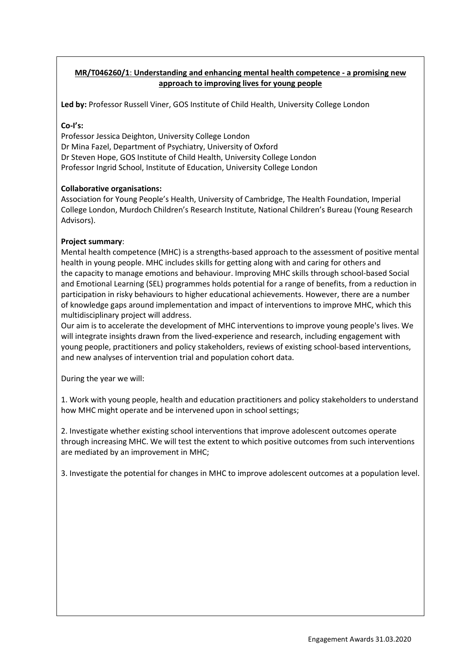# MR/T046260/1: Understanding and enhancing mental health competence - a promising new approach to improving lives for young people

Led by: Professor Russell Viner, GOS Institute of Child Health, University College London

#### Co-I's:

Professor Jessica Deighton, University College London Dr Mina Fazel, Department of Psychiatry, University of Oxford Dr Steven Hope, GOS Institute of Child Health, University College London Professor Ingrid School, Institute of Education, University College London

## Collaborative organisations:

Association for Young People's Health, University of Cambridge, The Health Foundation, Imperial College London, Murdoch Children's Research Institute, National Children's Bureau (Young Research Advisors).

## Project summary:

Mental health competence (MHC) is a strengths-based approach to the assessment of positive mental health in young people. MHC includes skills for getting along with and caring for others and the capacity to manage emotions and behaviour. Improving MHC skills through school-based Social and Emotional Learning (SEL) programmes holds potential for a range of benefits, from a reduction in participation in risky behaviours to higher educational achievements. However, there are a number of knowledge gaps around implementation and impact of interventions to improve MHC, which this multidisciplinary project will address.

Our aim is to accelerate the development of MHC interventions to improve young people's lives. We will integrate insights drawn from the lived-experience and research, including engagement with young people, practitioners and policy stakeholders, reviews of existing school-based interventions, and new analyses of intervention trial and population cohort data.

During the year we will:

1. Work with young people, health and education practitioners and policy stakeholders to understand how MHC might operate and be intervened upon in school settings;

2. Investigate whether existing school interventions that improve adolescent outcomes operate through increasing MHC. We will test the extent to which positive outcomes from such interventions are mediated by an improvement in MHC;

3. Investigate the potential for changes in MHC to improve adolescent outcomes at a population level.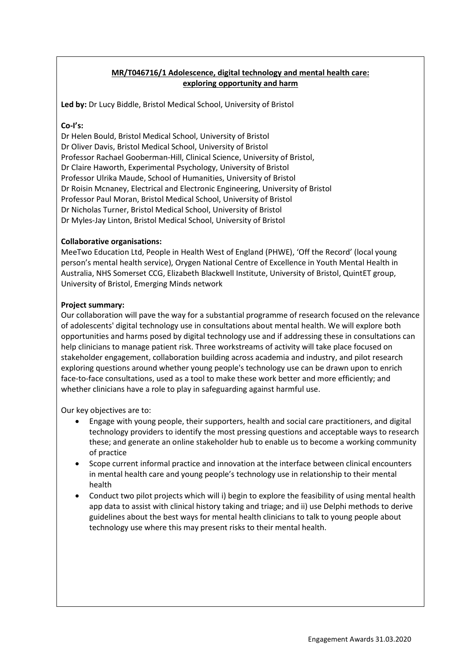# MR/T046716/1 Adolescence, digital technology and mental health care: exploring opportunity and harm

Led by: Dr Lucy Biddle, Bristol Medical School, University of Bristol

#### Co-I's:

Dr Helen Bould, Bristol Medical School, University of Bristol Dr Oliver Davis, Bristol Medical School, University of Bristol Professor Rachael Gooberman-Hill, Clinical Science, University of Bristol, Dr Claire Haworth, Experimental Psychology, University of Bristol Professor Ulrika Maude, School of Humanities, University of Bristol Dr Roisin Mcnaney, Electrical and Electronic Engineering, University of Bristol Professor Paul Moran, Bristol Medical School, University of Bristol Dr Nicholas Turner, Bristol Medical School, University of Bristol Dr Myles-Jay Linton, Bristol Medical School, University of Bristol

## Collaborative organisations:

MeeTwo Education Ltd, People in Health West of England (PHWE), 'Off the Record' (local young person's mental health service), Orygen National Centre of Excellence in Youth Mental Health in Australia, NHS Somerset CCG, Elizabeth Blackwell Institute, University of Bristol, QuintET group, University of Bristol, Emerging Minds network

## Project summary:

Our collaboration will pave the way for a substantial programme of research focused on the relevance of adolescents' digital technology use in consultations about mental health. We will explore both opportunities and harms posed by digital technology use and if addressing these in consultations can help clinicians to manage patient risk. Three workstreams of activity will take place focused on stakeholder engagement, collaboration building across academia and industry, and pilot research exploring questions around whether young people's technology use can be drawn upon to enrich face-to-face consultations, used as a tool to make these work better and more efficiently; and whether clinicians have a role to play in safeguarding against harmful use.

Our key objectives are to:

- Engage with young people, their supporters, health and social care practitioners, and digital technology providers to identify the most pressing questions and acceptable ways to research these; and generate an online stakeholder hub to enable us to become a working community of practice
- Scope current informal practice and innovation at the interface between clinical encounters in mental health care and young people's technology use in relationship to their mental health
- Conduct two pilot projects which will i) begin to explore the feasibility of using mental health app data to assist with clinical history taking and triage; and ii) use Delphi methods to derive guidelines about the best ways for mental health clinicians to talk to young people about technology use where this may present risks to their mental health.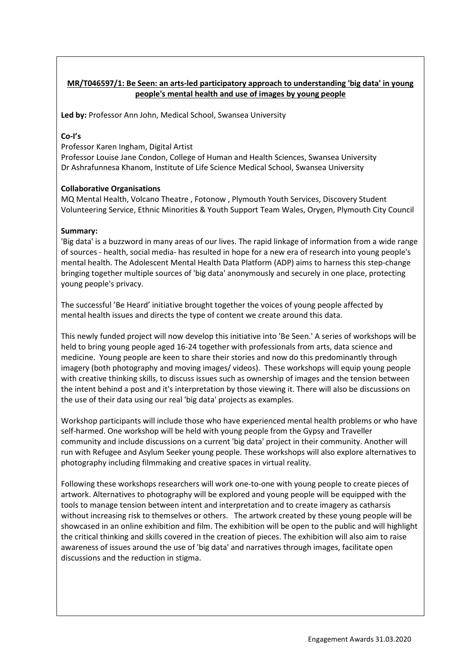# MR/T046597/1: Be Seen: an arts-led participatory approach to understanding 'big data' in young people's mental health and use of images by young people

Led by: Professor Ann John, Medical School, Swansea University

## Co-I's

Professor Karen Ingham, Digital Artist

Professor Louise Jane Condon, College of Human and Health Sciences, Swansea University Dr Ashrafunnesa Khanom, Institute of Life Science Medical School, Swansea University

#### Collaborative Organisations

MQ Mental Health, Volcano Theatre , Fotonow , Plymouth Youth Services, Discovery Student Volunteering Service, Ethnic Minorities & Youth Support Team Wales, Orygen, Plymouth City Council

#### Summary:

'Big data' is a buzzword in many areas of our lives. The rapid linkage of information from a wide range of sources - health, social media- has resulted in hope for a new era of research into young people's mental health. The Adolescent Mental Health Data Platform (ADP) aims to harness this step-change bringing together multiple sources of 'big data' anonymously and securely in one place, protecting young people's privacy.

The successful 'Be Heard' initiative brought together the voices of young people affected by mental health issues and directs the type of content we create around this data.

This newly funded project will now develop this initiative into 'Be Seen.' A series of workshops will be held to bring young people aged 16-24 together with professionals from arts, data science and medicine. Young people are keen to share their stories and now do this predominantly through imagery (both photography and moving images/ videos). These workshops will equip young people with creative thinking skills, to discuss issues such as ownership of images and the tension between the intent behind a post and it's interpretation by those viewing it. There will also be discussions on the use of their data using our real 'big data' projects as examples.

Workshop participants will include those who have experienced mental health problems or who have self-harmed. One workshop will be held with young people from the Gypsy and Traveller community and include discussions on a current 'big data' project in their community. Another will run with Refugee and Asylum Seeker young people. These workshops will also explore alternatives to photography including filmmaking and creative spaces in virtual reality.

Following these workshops researchers will work one-to-one with young people to create pieces of artwork. Alternatives to photography will be explored and young people will be equipped with the tools to manage tension between intent and interpretation and to create imagery as catharsis without increasing risk to themselves or others. The artwork created by these young people will be showcased in an online exhibition and film. The exhibition will be open to the public and will highlight the critical thinking and skills covered in the creation of pieces. The exhibition will also aim to raise awareness of issues around the use of 'big data' and narratives through images, facilitate open discussions and the reduction in stigma.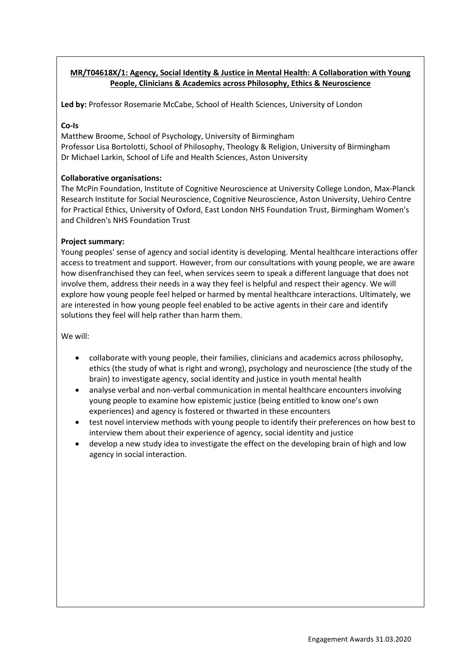# MR/T04618X/1: Agency, Social Identity & Justice in Mental Health: A Collaboration with Young People, Clinicians & Academics across Philosophy, Ethics & Neuroscience

Led by: Professor Rosemarie McCabe, School of Health Sciences, University of London

#### Co-Is

Matthew Broome, School of Psychology, University of Birmingham Professor Lisa Bortolotti, School of Philosophy, Theology & Religion, University of Birmingham Dr Michael Larkin, School of Life and Health Sciences, Aston University

## Collaborative organisations:

The McPin Foundation, Institute of Cognitive Neuroscience at University College London, Max-Planck Research Institute for Social Neuroscience, Cognitive Neuroscience, Aston University, Uehiro Centre for Practical Ethics, University of Oxford, East London NHS Foundation Trust, Birmingham Women's and Children's NHS Foundation Trust

## Project summary:

Young peoples' sense of agency and social identity is developing. Mental healthcare interactions offer access to treatment and support. However, from our consultations with young people, we are aware how disenfranchised they can feel, when services seem to speak a different language that does not involve them, address their needs in a way they feel is helpful and respect their agency. We will explore how young people feel helped or harmed by mental healthcare interactions. Ultimately, we are interested in how young people feel enabled to be active agents in their care and identify solutions they feel will help rather than harm them.

We will:

- collaborate with young people, their families, clinicians and academics across philosophy, ethics (the study of what is right and wrong), psychology and neuroscience (the study of the brain) to investigate agency, social identity and justice in youth mental health
- analyse verbal and non-verbal communication in mental healthcare encounters involving young people to examine how epistemic justice (being entitled to know one's own experiences) and agency is fostered or thwarted in these encounters
- test novel interview methods with young people to identify their preferences on how best to interview them about their experience of agency, social identity and justice
- develop a new study idea to investigate the effect on the developing brain of high and low agency in social interaction.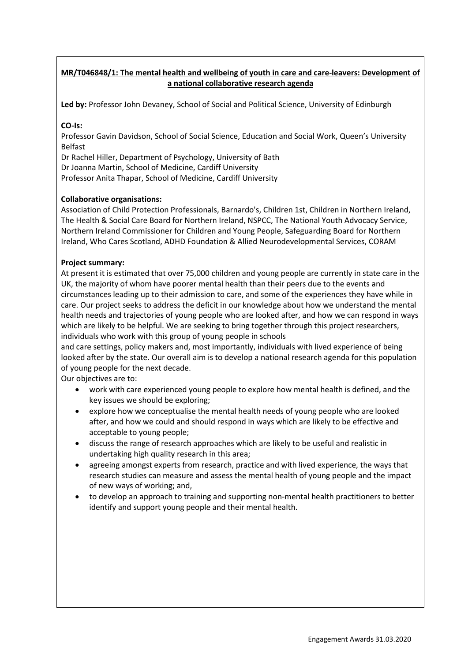# MR/T046848/1: The mental health and wellbeing of youth in care and care-leavers: Development of a national collaborative research agenda

Led by: Professor John Devaney, School of Social and Political Science, University of Edinburgh

## CO-Is:

Professor Gavin Davidson, School of Social Science, Education and Social Work, Queen's University Belfast

Dr Rachel Hiller, Department of Psychology, University of Bath Dr Joanna Martin, School of Medicine, Cardiff University Professor Anita Thapar, School of Medicine, Cardiff University

## Collaborative organisations:

Association of Child Protection Professionals, Barnardo's, Children 1st, Children in Northern Ireland, The Health & Social Care Board for Northern Ireland, NSPCC, The National Youth Advocacy Service, Northern Ireland Commissioner for Children and Young People, Safeguarding Board for Northern Ireland, Who Cares Scotland, ADHD Foundation & Allied Neurodevelopmental Services, CORAM

## Project summary:

At present it is estimated that over 75,000 children and young people are currently in state care in the UK, the majority of whom have poorer mental health than their peers due to the events and circumstances leading up to their admission to care, and some of the experiences they have while in care. Our project seeks to address the deficit in our knowledge about how we understand the mental health needs and trajectories of young people who are looked after, and how we can respond in ways which are likely to be helpful. We are seeking to bring together through this project researchers, individuals who work with this group of young people in schools

and care settings, policy makers and, most importantly, individuals with lived experience of being looked after by the state. Our overall aim is to develop a national research agenda for this population of young people for the next decade.

Our objectives are to:

- work with care experienced young people to explore how mental health is defined, and the key issues we should be exploring;
- explore how we conceptualise the mental health needs of young people who are looked after, and how we could and should respond in ways which are likely to be effective and acceptable to young people;
- discuss the range of research approaches which are likely to be useful and realistic in undertaking high quality research in this area;
- agreeing amongst experts from research, practice and with lived experience, the ways that research studies can measure and assess the mental health of young people and the impact of new ways of working; and,
- to develop an approach to training and supporting non-mental health practitioners to better identify and support young people and their mental health.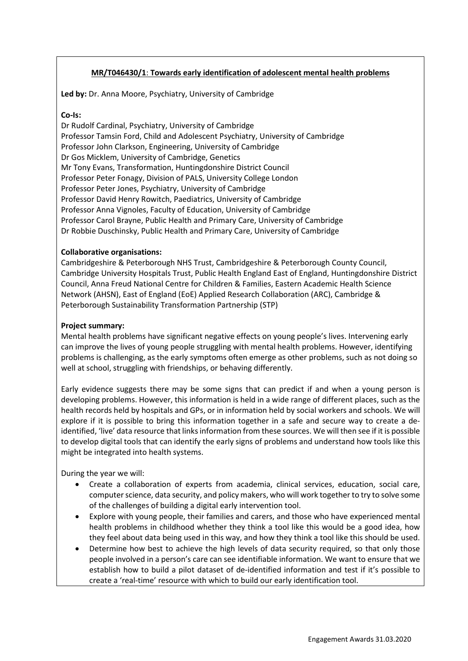# MR/T046430/1: Towards early identification of adolescent mental health problems

Led by: Dr. Anna Moore, Psychiatry, University of Cambridge

#### Co-Is:

Dr Rudolf Cardinal, Psychiatry, University of Cambridge Professor Tamsin Ford, Child and Adolescent Psychiatry, University of Cambridge Professor John Clarkson, Engineering, University of Cambridge Dr Gos Micklem, University of Cambridge, Genetics Mr Tony Evans, Transformation, Huntingdonshire District Council Professor Peter Fonagy, Division of PALS, University College London Professor Peter Jones, Psychiatry, University of Cambridge Professor David Henry Rowitch, Paediatrics, University of Cambridge Professor Anna Vignoles, Faculty of Education, University of Cambridge Professor Carol Brayne, Public Health and Primary Care, University of Cambridge Dr Robbie Duschinsky, Public Health and Primary Care, University of Cambridge

#### Collaborative organisations:

Cambridgeshire & Peterborough NHS Trust, Cambridgeshire & Peterborough County Council, Cambridge University Hospitals Trust, Public Health England East of England, Huntingdonshire District Council, Anna Freud National Centre for Children & Families, Eastern Academic Health Science Network (AHSN), East of England (EoE) Applied Research Collaboration (ARC), Cambridge & Peterborough Sustainability Transformation Partnership (STP)

#### Project summary:

Mental health problems have significant negative effects on young people's lives. Intervening early can improve the lives of young people struggling with mental health problems. However, identifying problems is challenging, as the early symptoms often emerge as other problems, such as not doing so well at school, struggling with friendships, or behaving differently.

Early evidence suggests there may be some signs that can predict if and when a young person is developing problems. However, this information is held in a wide range of different places, such as the health records held by hospitals and GPs, or in information held by social workers and schools. We will explore if it is possible to bring this information together in a safe and secure way to create a deidentified, 'live' data resource that links information from these sources. We will then see if it is possible to develop digital tools that can identify the early signs of problems and understand how tools like this might be integrated into health systems.

During the year we will:

- Create a collaboration of experts from academia, clinical services, education, social care, computer science, data security, and policy makers, who will work together to try to solve some of the challenges of building a digital early intervention tool.
- Explore with young people, their families and carers, and those who have experienced mental health problems in childhood whether they think a tool like this would be a good idea, how they feel about data being used in this way, and how they think a tool like this should be used.
- Determine how best to achieve the high levels of data security required, so that only those people involved in a person's care can see identifiable information. We want to ensure that we establish how to build a pilot dataset of de-identified information and test if it's possible to create a 'real-time' resource with which to build our early identification tool.